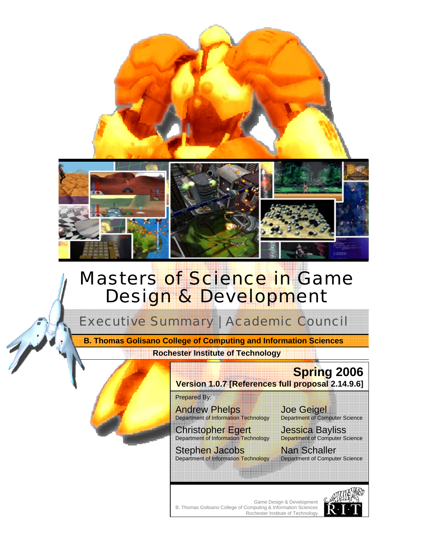

# **Masters of Science in Game** Design & Development

Executive Summary | Academic Council

**Rochester Institute of Technology B. Thomas Golisano College of Computing and Information Sciences** 



Prepared By:

Andrew Phelps Department of Information Technology

**Christopher Egert** Department of Information Technology

Stephen Jacobs Department of Information Technology

Joe Geigel Department of Computer Science

Jessica Bayliss Department of Computer Science

Nan Schaller Department of Computer Science

Game Design & Development B. Thomas Golisano College of Computing & Information Sciences Rochester Institute of Technology

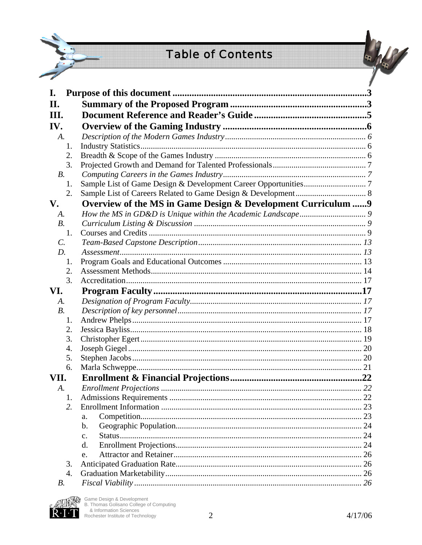# **Table of Contents**



| I.              |                                                               |  |
|-----------------|---------------------------------------------------------------|--|
| П.              |                                                               |  |
| III.            |                                                               |  |
| IV.             |                                                               |  |
| A.              |                                                               |  |
| 1.              |                                                               |  |
| 2.              |                                                               |  |
| 3.              |                                                               |  |
| $B$ .           |                                                               |  |
| 1.              |                                                               |  |
| 2.              |                                                               |  |
| V.              | Overview of the MS in Game Design & Development Curriculum  9 |  |
| A.              |                                                               |  |
| <i>B.</i>       |                                                               |  |
| 1.              |                                                               |  |
| $\mathcal{C}$ . |                                                               |  |
| D.              |                                                               |  |
| 1.              |                                                               |  |
| 2.              |                                                               |  |
| 3.              |                                                               |  |
| VI.             |                                                               |  |
| A.              |                                                               |  |
| <i>B.</i>       |                                                               |  |
| 1.              |                                                               |  |
| 2.              |                                                               |  |
| 3.              |                                                               |  |
| 4.              |                                                               |  |
| 5.              |                                                               |  |
| 6.              |                                                               |  |
| VII.            |                                                               |  |
| A.              |                                                               |  |
| 1.              |                                                               |  |
| 2.              |                                                               |  |
|                 | a.                                                            |  |
|                 |                                                               |  |
|                 | $\mathbf{b}$ .                                                |  |
|                 | $C_{\bullet}$                                                 |  |
|                 | d.                                                            |  |
|                 | e.                                                            |  |
| 3.              |                                                               |  |
| 4.              |                                                               |  |



**MAGE** Game Design & Development<br>  $\begin{matrix}\n\mathbb{Q}_1 \\
\mathbb{Q}_2 \\
\mathbb{Q}_3\n\end{matrix}$  B. Thomas Golisano College of Computing<br>
8. Information Sciences<br>
Rochester Institute of Technology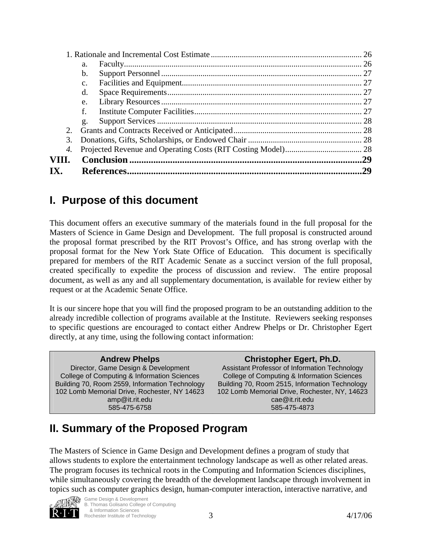|       |                | 29  |
|-------|----------------|-----|
| VIII. |                | .29 |
| 4.    |                |     |
| 3.    |                |     |
| 2.    |                |     |
|       | g.             |     |
|       | f.             |     |
|       | e.             |     |
|       | d.             |     |
|       | $\mathbf{C}$ . |     |
|       | b.             |     |
|       | a.             |     |
|       |                |     |

## **I. Purpose of this document**

This document offers an executive summary of the materials found in the full proposal for the Masters of Science in Game Design and Development. The full proposal is constructed around the proposal format prescribed by the RIT Provost's Office, and has strong overlap with the proposal format for the New York State Office of Education. This document is specifically prepared for members of the RIT Academic Senate as a succinct version of the full proposal, created specifically to expedite the process of discussion and review. The entire proposal document, as well as any and all supplementary documentation, is available for review either by request or at the Academic Senate Office.

It is our sincere hope that you will find the proposed program to be an outstanding addition to the already incredible collection of programs available at the Institute. Reviewers seeking responses to specific questions are encouraged to contact either Andrew Phelps or Dr. Christopher Egert directly, at any time, using the following contact information:

| <b>Andrew Phelps</b>                           | <b>Christopher Egert, Ph.D.</b>                |
|------------------------------------------------|------------------------------------------------|
| Director, Game Design & Development            | Assistant Professor of Information Technology  |
| College of Computing & Information Sciences    | College of Computing & Information Sciences    |
| Building 70, Room 2559, Information Technology | Building 70, Room 2515, Information Technology |
| 102 Lomb Memorial Drive, Rochester, NY 14623   | 102 Lomb Memorial Drive, Rochester, NY, 14623  |
| $amp@$ it.rit.edu                              | $\text{cae@it.rit.edu}$                        |
| 585-475-6758                                   | 585-475-4873                                   |
|                                                |                                                |

# **II. Summary of the Proposed Program**

The Masters of Science in Game Design and Development defines a program of study that allows students to explore the entertainment technology landscape as well as other related areas. The program focuses its technical roots in the Computing and Information Sciences disciplines, while simultaneously covering the breadth of the development landscape through involvement in topics such as computer graphics design, human-computer interaction, interactive narrative, and



Rochester Institute of Technology 3 3 3 4/17/06 Game Design & Development B. Thomas Golisano College of Computing & Information Sciences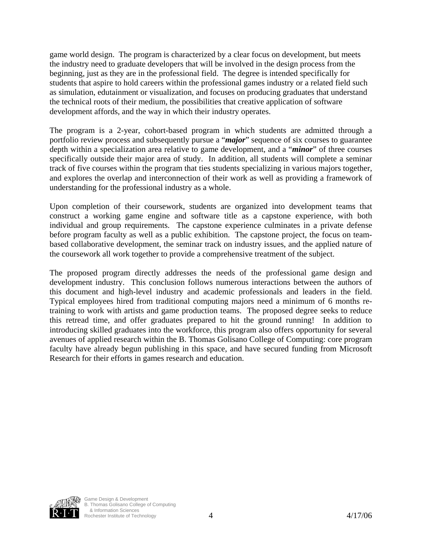game world design. The program is characterized by a clear focus on development, but meets the industry need to graduate developers that will be involved in the design process from the beginning, just as they are in the professional field. The degree is intended specifically for students that aspire to hold careers within the professional games industry or a related field such as simulation, edutainment or visualization, and focuses on producing graduates that understand the technical roots of their medium, the possibilities that creative application of software development affords, and the way in which their industry operates.

The program is a 2-year, cohort-based program in which students are admitted through a portfolio review process and subsequently pursue a "*major*" sequence of six courses to guarantee depth within a specialization area relative to game development, and a "*minor*" of three courses specifically outside their major area of study. In addition, all students will complete a seminar track of five courses within the program that ties students specializing in various majors together, and explores the overlap and interconnection of their work as well as providing a framework of understanding for the professional industry as a whole.

Upon completion of their coursework, students are organized into development teams that construct a working game engine and software title as a capstone experience, with both individual and group requirements. The capstone experience culminates in a private defense before program faculty as well as a public exhibition. The capstone project, the focus on teambased collaborative development, the seminar track on industry issues, and the applied nature of the coursework all work together to provide a comprehensive treatment of the subject.

The proposed program directly addresses the needs of the professional game design and development industry. This conclusion follows numerous interactions between the authors of this document and high-level industry and academic professionals and leaders in the field. Typical employees hired from traditional computing majors need a minimum of 6 months retraining to work with artists and game production teams. The proposed degree seeks to reduce this retread time, and offer graduates prepared to hit the ground running! In addition to introducing skilled graduates into the workforce, this program also offers opportunity for several avenues of applied research within the B. Thomas Golisano College of Computing: core program faculty have already begun publishing in this space, and have secured funding from Microsoft Research for their efforts in games research and education.

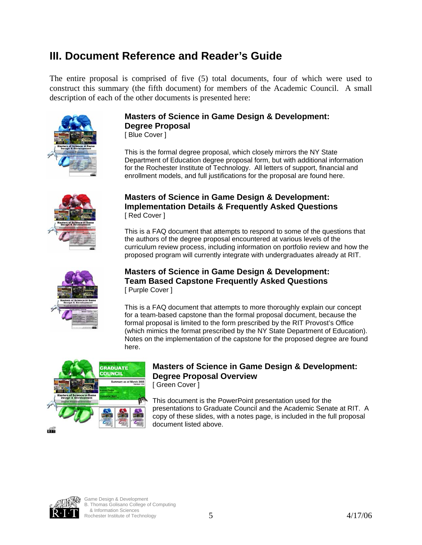## **III.Document Reference and Reader's Guide**

The entire proposal is comprised of five (5) total documents, four of which were used to construct this summary (the fifth document) for members of the Academic Council. A small description of each of the other documents is presented here:



## **Masters of Science in Game Design & Development: Degree Proposal**

[ Blue Cover ]

This is the formal degree proposal, which closely mirrors the NY State Department of Education degree proposal form, but with additional information for the Rochester Institute of Technology. All letters of support, financial and enrollment models, and full justifications for the proposal are found here.



#### **Masters of Science in Game Design & Development: Implementation Details & Frequently Asked Questions**  [ Red Cover ]

This is a FAQ document that attempts to respond to some of the questions that the authors of the degree proposal encountered at various levels of the curriculum review process, including information on portfolio review and how the proposed program will currently integrate with undergraduates already at RIT.



#### **Masters of Science in Game Design & Development: Team Based Capstone Frequently Asked Questions**  [ Purple Cover ]

This is a FAQ document that attempts to more thoroughly explain our concept for a team-based capstone than the formal proposal document, because the formal proposal is limited to the form prescribed by the RIT Provost's Office (which mimics the format prescribed by the NY State Department of Education). Notes on the implementation of the capstone for the proposed degree are found here.



## **SRADUATE MASTERS OF SCIENCE IN GAME DESIGN & Development: Degree Proposal Overview**

[ Green Cover ]

This document is the PowerPoint presentation used for the presentations to Graduate Council and the Academic Senate at RIT. A copy of these slides, with a notes page, is included in the full proposal document listed above.



 $\frac{1}{4}$  Rochester Institute of Technology  $\frac{5}{5}$ Game Design & Development B. Thomas Golisano College of Computing & Information Sciences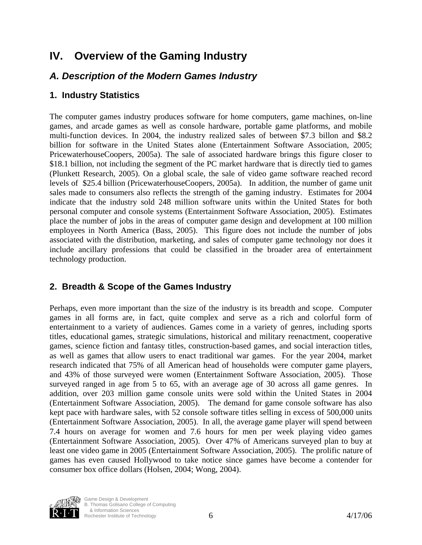## **IV. Overview of the Gaming Industry**

#### *A. Description of the Modern Games Industry*

#### **1. Industry Statistics**

The computer games industry produces software for home computers, game machines, on-line games, and arcade games as well as console hardware, portable game platforms, and mobile multi-function devices. In 2004, the industry realized sales of between \$7.3 billon and \$8.2 billion for software in the United States alone (Entertainment Software Association, 2005; PricewaterhouseCoopers, 2005a). The sale of associated hardware brings this figure closer to \$18.1 billion, not including the segment of the PC market hardware that is directly tied to games (Plunkett Research, 2005). On a global scale, the sale of video game software reached record levels of \$25.4 billion (PricewaterhouseCoopers, 2005a). In addition, the number of game unit sales made to consumers also reflects the strength of the gaming industry. Estimates for 2004 indicate that the industry sold 248 million software units within the United States for both personal computer and console systems (Entertainment Software Association, 2005). Estimates place the number of jobs in the areas of computer game design and development at 100 million employees in North America (Bass, 2005). This figure does not include the number of jobs associated with the distribution, marketing, and sales of computer game technology nor does it include ancillary professions that could be classified in the broader area of entertainment technology production.

#### **2. Breadth & Scope of the Games Industry**

Perhaps, even more important than the size of the industry is its breadth and scope. Computer games in all forms are, in fact, quite complex and serve as a rich and colorful form of entertainment to a variety of audiences. Games come in a variety of genres, including sports titles, educational games, strategic simulations, historical and military reenactment, cooperative games, science fiction and fantasy titles, construction-based games, and social interaction titles, as well as games that allow users to enact traditional war games. For the year 2004, market research indicated that 75% of all American head of households were computer game players, and 43% of those surveyed were women (Entertainment Software Association, 2005). Those surveyed ranged in age from 5 to 65, with an average age of 30 across all game genres. In addition, over 203 million game console units were sold within the United States in 2004 (Entertainment Software Association, 2005). The demand for game console software has also kept pace with hardware sales, with 52 console software titles selling in excess of 500,000 units (Entertainment Software Association, 2005). In all, the average game player will spend between 7.4 hours on average for women and 7.6 hours for men per week playing video games (Entertainment Software Association, 2005). Over 47% of Americans surveyed plan to buy at least one video game in 2005 (Entertainment Software Association, 2005). The prolific nature of games has even caused Hollywood to take notice since games have become a contender for consumer box office dollars (Holsen, 2004; Wong, 2004).



 $\frac{1}{4}$  Rochester Institute of Technology  $\frac{6}{4}$ Game Design & Development B. Thomas Golisano College of Computing & Information Sciences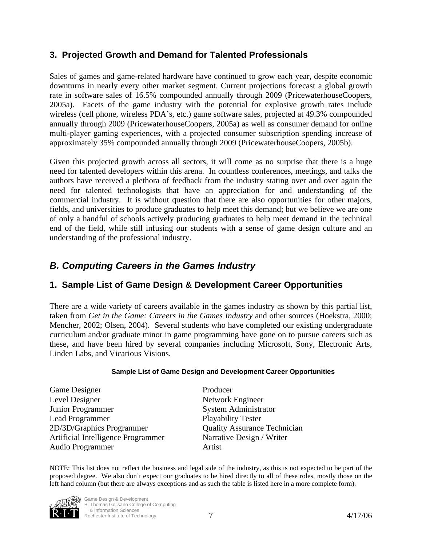#### **3. Projected Growth and Demand for Talented Professionals**

Sales of games and game-related hardware have continued to grow each year, despite economic downturns in nearly every other market segment. Current projections forecast a global growth rate in software sales of 16.5% compounded annually through 2009 (PricewaterhouseCoopers, 2005a). Facets of the game industry with the potential for explosive growth rates include wireless (cell phone, wireless PDA's, etc.) game software sales, projected at 49.3% compounded annually through 2009 (PricewaterhouseCoopers, 2005a) as well as consumer demand for online multi-player gaming experiences, with a projected consumer subscription spending increase of approximately 35% compounded annually through 2009 (PricewaterhouseCoopers, 2005b).

Given this projected growth across all sectors, it will come as no surprise that there is a huge need for talented developers within this arena. In countless conferences, meetings, and talks the authors have received a plethora of feedback from the industry stating over and over again the need for talented technologists that have an appreciation for and understanding of the commercial industry. It is without question that there are also opportunities for other majors, fields, and universities to produce graduates to help meet this demand; but we believe we are one of only a handful of schools actively producing graduates to help meet demand in the technical end of the field, while still infusing our students with a sense of game design culture and an understanding of the professional industry.

#### *B. Computing Careers in the Games Industry*

#### **1. Sample List of Game Design & Development Career Opportunities**

There are a wide variety of careers available in the games industry as shown by this partial list, taken from *Get in the Game: Careers in the Games Industry* and other sources (Hoekstra, 2000; Mencher, 2002; Olsen, 2004). Several students who have completed our existing undergraduate curriculum and/or graduate minor in game programming have gone on to pursue careers such as these, and have been hired by several companies including Microsoft, Sony, Electronic Arts, Linden Labs, and Vicarious Visions.

#### **Sample List of Game Design and Development Career Opportunities**

| Game Designer                      | Producer                            |
|------------------------------------|-------------------------------------|
| Level Designer                     | Network Engineer                    |
| <b>Junior Programmer</b>           | <b>System Administrator</b>         |
| <b>Lead Programmer</b>             | <b>Playability Tester</b>           |
| 2D/3D/Graphics Programmer          | <b>Quality Assurance Technician</b> |
| Artificial Intelligence Programmer | Narrative Design / Writer           |
| <b>Audio Programmer</b>            | Artist                              |

NOTE: This list does not reflect the business and legal side of the industry, as this is not expected to be part of the proposed degree. We also don't expect our graduates to be hired directly to all of these roles, mostly those on the left hand column (but there are always exceptions and as such the table is listed here in a more complete form).



Rochester Institute of Technology **2 117/06** Game Design & Development B. Thomas Golisano College of Computing & Information Sciences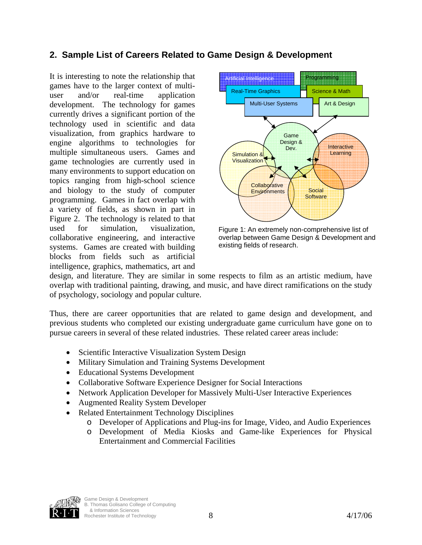#### **2. Sample List of Careers Related to Game Design & Development**

It is interesting to note the relationship that games have to the larger context of multiuser and/or real-time application development. The technology for games currently drives a significant portion of the technology used in scientific and data visualization, from graphics hardware to engine algorithms to technologies for multiple simultaneous users. Games and game technologies are currently used in many environments to support education on topics ranging from high-school science and biology to the study of computer programming. Games in fact overlap with a variety of fields, as shown in part in Figure 2. The technology is related to that used for simulation, visualization, collaborative engineering, and interactive systems. Games are created with building blocks from fields such as artificial intelligence, graphics, mathematics, art and



Figure 1: An extremely non-comprehensive list of overlap between Game Design & Development and existing fields of research.

design, and literature. They are similar in some respects to film as an artistic medium, have overlap with traditional painting, drawing, and music, and have direct ramifications on the study of psychology, sociology and popular culture.

Thus, there are career opportunities that are related to game design and development, and previous students who completed our existing undergraduate game curriculum have gone on to pursue careers in several of these related industries. These related career areas include:

- Scientific Interactive Visualization System Design
- Military Simulation and Training Systems Development
- Educational Systems Development
- Collaborative Software Experience Designer for Social Interactions
- Network Application Developer for Massively Multi-User Interactive Experiences
- Augmented Reality System Developer
- Related Entertainment Technology Disciplines
	- o Developer of Applications and Plug-ins for Image, Video, and Audio Experiences
	- o Development of Media Kiosks and Game-like Experiences for Physical Entertainment and Commercial Facilities

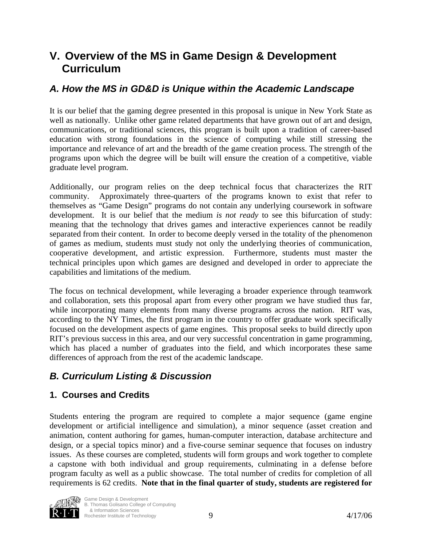## **V. Overview of the MS in Game Design & Development Curriculum**

#### *A. How the MS in GD&D is Unique within the Academic Landscape*

It is our belief that the gaming degree presented in this proposal is unique in New York State as well as nationally. Unlike other game related departments that have grown out of art and design, communications, or traditional sciences, this program is built upon a tradition of career-based education with strong foundations in the science of computing while still stressing the importance and relevance of art and the breadth of the game creation process. The strength of the programs upon which the degree will be built will ensure the creation of a competitive, viable graduate level program.

Additionally, our program relies on the deep technical focus that characterizes the RIT community. Approximately three-quarters of the programs known to exist that refer to themselves as "Game Design" programs do not contain any underlying coursework in software development. It is our belief that the medium *is not ready* to see this bifurcation of study: meaning that the technology that drives games and interactive experiences cannot be readily separated from their content. In order to become deeply versed in the totality of the phenomenon of games as medium, students must study not only the underlying theories of communication, cooperative development, and artistic expression. Furthermore, students must master the technical principles upon which games are designed and developed in order to appreciate the capabilities and limitations of the medium.

The focus on technical development, while leveraging a broader experience through teamwork and collaboration, sets this proposal apart from every other program we have studied thus far, while incorporating many elements from many diverse programs across the nation. RIT was, according to the NY Times, the first program in the country to offer graduate work specifically focused on the development aspects of game engines. This proposal seeks to build directly upon RIT's previous success in this area, and our very successful concentration in game programming, which has placed a number of graduates into the field, and which incorporates these same differences of approach from the rest of the academic landscape.

## *B. Curriculum Listing & Discussion*

#### **1. Courses and Credits**

Students entering the program are required to complete a major sequence (game engine development or artificial intelligence and simulation), a minor sequence (asset creation and animation, content authoring for games, human-computer interaction, database architecture and design, or a special topics minor) and a five-course seminar sequence that focuses on industry issues. As these courses are completed, students will form groups and work together to complete a capstone with both individual and group requirements, culminating in a defense before program faculty as well as a public showcase. The total number of credits for completion of all requirements is 62 credits. **Note that in the final quarter of study, students are registered for** 

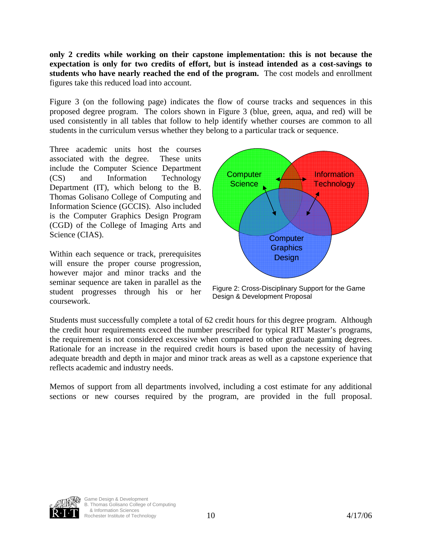**only 2 credits while working on their capstone implementation: this is not because the expectation is only for two credits of effort, but is instead intended as a cost-savings to students who have nearly reached the end of the program.** The cost models and enrollment figures take this reduced load into account.

Figure 3 (on the following page) indicates the flow of course tracks and sequences in this proposed degree program. The colors shown in Figure 3 (blue, green, aqua, and red) will be used consistently in all tables that follow to help identify whether courses are common to all students in the curriculum versus whether they belong to a particular track or sequence.

Three academic units host the courses associated with the degree. These units include the Computer Science Department (CS) and Information Technology Department (IT), which belong to the B. Thomas Golisano College of Computing and Information Science (GCCIS). Also included is the Computer Graphics Design Program (CGD) of the College of Imaging Arts and Science (CIAS).

Within each sequence or track, prerequisites will ensure the proper course progression, however major and minor tracks and the seminar sequence are taken in parallel as the student progresses through his or her coursework.



Figure 2: Cross-Disciplinary Support for the Game Design & Development Proposal

Students must successfully complete a total of 62 credit hours for this degree program. Although the credit hour requirements exceed the number prescribed for typical RIT Master's programs, the requirement is not considered excessive when compared to other graduate gaming degrees. Rationale for an increase in the required credit hours is based upon the necessity of having adequate breadth and depth in major and minor track areas as well as a capstone experience that reflects academic and industry needs.

Memos of support from all departments involved, including a cost estimate for any additional sections or new courses required by the program, are provided in the full proposal.

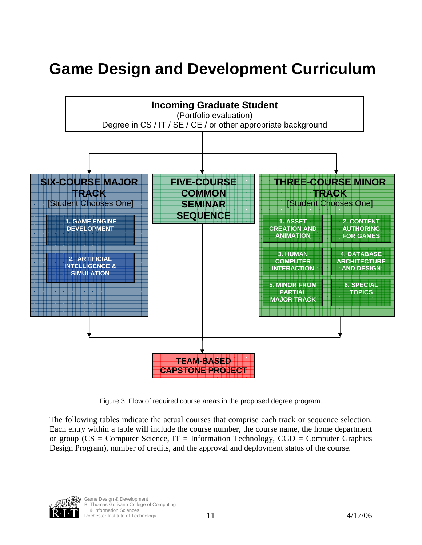# **Game Design and Development Curriculum**



Figure 3: Flow of required course areas in the proposed degree program.

The following tables indicate the actual courses that comprise each track or sequence selection. Each entry within a table will include the course number, the course name, the home department or group ( $CS =$  Computer Science,  $IT =$  Information Technology,  $CGD =$  Computer Graphics Design Program), number of credits, and the approval and deployment status of the course.

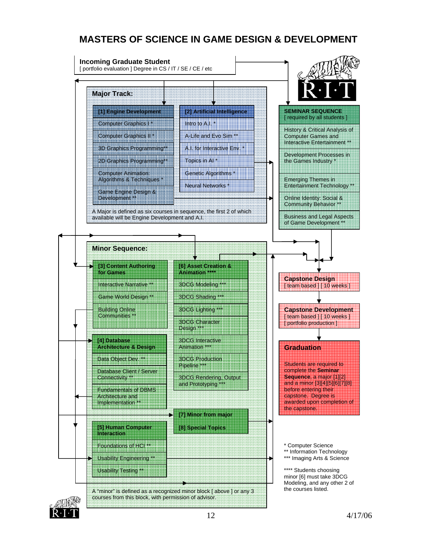## **MASTERS OF SCIENCE IN GAME DESIGN & DEVELOPMENT**



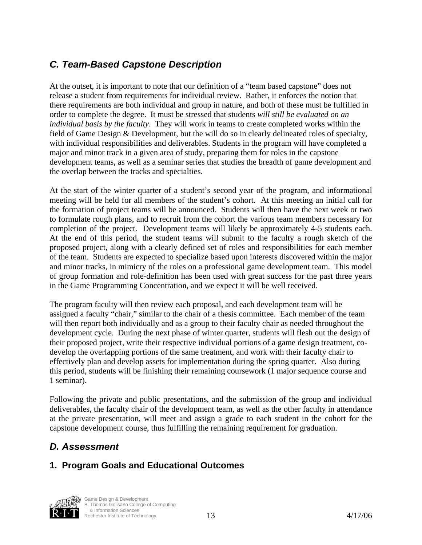## *C. Team-Based Capstone Description*

At the outset, it is important to note that our definition of a "team based capstone" does not release a student from requirements for individual review. Rather, it enforces the notion that there requirements are both individual and group in nature, and both of these must be fulfilled in order to complete the degree. It must be stressed that students *will still be evaluated on an individual basis by the faculty*. They will work in teams to create completed works within the field of Game Design & Development, but the will do so in clearly delineated roles of specialty, with individual responsibilities and deliverables. Students in the program will have completed a major and minor track in a given area of study, preparing them for roles in the capstone development teams, as well as a seminar series that studies the breadth of game development and the overlap between the tracks and specialties.

At the start of the winter quarter of a student's second year of the program, and informational meeting will be held for all members of the student's cohort. At this meeting an initial call for the formation of project teams will be announced. Students will then have the next week or two to formulate rough plans, and to recruit from the cohort the various team members necessary for completion of the project. Development teams will likely be approximately 4-5 students each. At the end of this period, the student teams will submit to the faculty a rough sketch of the proposed project, along with a clearly defined set of roles and responsibilities for each member of the team. Students are expected to specialize based upon interests discovered within the major and minor tracks, in mimicry of the roles on a professional game development team. This model of group formation and role-definition has been used with great success for the past three years in the Game Programming Concentration, and we expect it will be well received.

The program faculty will then review each proposal, and each development team will be assigned a faculty "chair," similar to the chair of a thesis committee. Each member of the team will then report both individually and as a group to their faculty chair as needed throughout the development cycle. During the next phase of winter quarter, students will flesh out the design of their proposed project, write their respective individual portions of a game design treatment, codevelop the overlapping portions of the same treatment, and work with their faculty chair to effectively plan and develop assets for implementation during the spring quarter. Also during this period, students will be finishing their remaining coursework (1 major sequence course and 1 seminar).

Following the private and public presentations, and the submission of the group and individual deliverables, the faculty chair of the development team, as well as the other faculty in attendance at the private presentation, will meet and assign a grade to each student in the cohort for the capstone development course, thus fulfilling the remaining requirement for graduation.

## *D. Assessment*

## **1. Program Goals and Educational Outcomes**

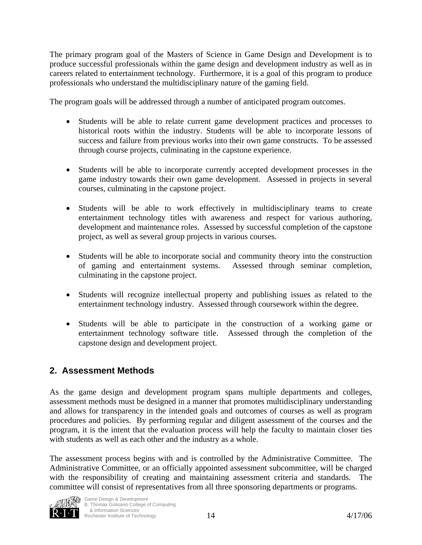The primary program goal of the Masters of Science in Game Design and Development is to produce successful professionals within the game design and development industry as well as in careers related to entertainment technology. Furthermore, it is a goal of this program to produce professionals who understand the multidisciplinary nature of the gaming field.

The program goals will be addressed through a number of anticipated program outcomes.

- Students will be able to relate current game development practices and processes to historical roots within the industry. Students will be able to incorporate lessons of success and failure from previous works into their own game constructs. To be assessed through course projects, culminating in the capstone experience.
- Students will be able to incorporate currently accepted development processes in the game industry towards their own game development. Assessed in projects in several courses, culminating in the capstone project.
- Students will be able to work effectively in multidisciplinary teams to create entertainment technology titles with awareness and respect for various authoring, development and maintenance roles. Assessed by successful completion of the capstone project, as well as several group projects in various courses.
- Students will be able to incorporate social and community theory into the construction of gaming and entertainment systems. Assessed through seminar completion, culminating in the capstone project.
- Students will recognize intellectual property and publishing issues as related to the entertainment technology industry. Assessed through coursework within the degree.
- Students will be able to participate in the construction of a working game or entertainment technology software title. Assessed through the completion of the capstone design and development project.

#### **2. Assessment Methods**

As the game design and development program spans multiple departments and colleges, assessment methods must be designed in a manner that promotes multidisciplinary understanding and allows for transparency in the intended goals and outcomes of courses as well as program procedures and policies. By performing regular and diligent assessment of the courses and the program, it is the intent that the evaluation process will help the faculty to maintain closer ties with students as well as each other and the industry as a whole.

The assessment process begins with and is controlled by the Administrative Committee. The Administrative Committee, or an officially appointed assessment subcommittee, will be charged with the responsibility of creating and maintaining assessment criteria and standards. The committee will consist of representatives from all three sponsoring departments or programs.

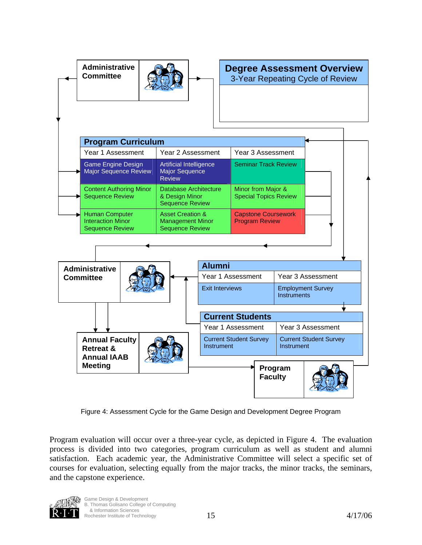

Figure 4: Assessment Cycle for the Game Design and Development Degree Program

Program evaluation will occur over a three-year cycle, as depicted in Figure 4. The evaluation process is divided into two categories, program curriculum as well as student and alumni satisfaction. Each academic year, the Administrative Committee will select a specific set of courses for evaluation, selecting equally from the major tracks, the minor tracks, the seminars, and the capstone experience.



 $\frac{15}{4/17/06}$ Game Design & Development B. Thomas Golisano College of Computing & Information Sciences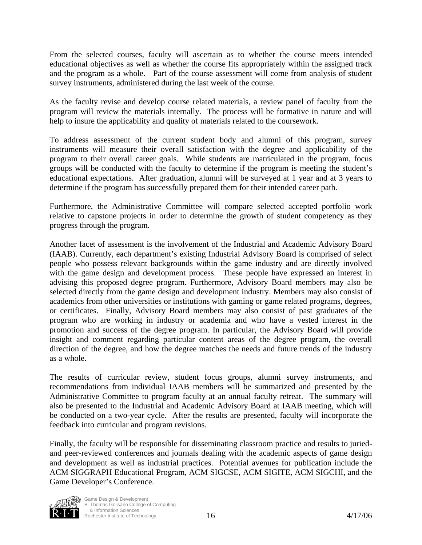From the selected courses, faculty will ascertain as to whether the course meets intended educational objectives as well as whether the course fits appropriately within the assigned track and the program as a whole. Part of the course assessment will come from analysis of student survey instruments, administered during the last week of the course.

As the faculty revise and develop course related materials, a review panel of faculty from the program will review the materials internally. The process will be formative in nature and will help to insure the applicability and quality of materials related to the coursework.

To address assessment of the current student body and alumni of this program, survey instruments will measure their overall satisfaction with the degree and applicability of the program to their overall career goals. While students are matriculated in the program, focus groups will be conducted with the faculty to determine if the program is meeting the student's educational expectations. After graduation, alumni will be surveyed at 1 year and at 3 years to determine if the program has successfully prepared them for their intended career path.

Furthermore, the Administrative Committee will compare selected accepted portfolio work relative to capstone projects in order to determine the growth of student competency as they progress through the program.

Another facet of assessment is the involvement of the Industrial and Academic Advisory Board (IAAB). Currently, each department's existing Industrial Advisory Board is comprised of select people who possess relevant backgrounds within the game industry and are directly involved with the game design and development process. These people have expressed an interest in advising this proposed degree program. Furthermore, Advisory Board members may also be selected directly from the game design and development industry. Members may also consist of academics from other universities or institutions with gaming or game related programs, degrees, or certificates. Finally, Advisory Board members may also consist of past graduates of the program who are working in industry or academia and who have a vested interest in the promotion and success of the degree program. In particular, the Advisory Board will provide insight and comment regarding particular content areas of the degree program, the overall direction of the degree, and how the degree matches the needs and future trends of the industry as a whole.

The results of curricular review, student focus groups, alumni survey instruments, and recommendations from individual IAAB members will be summarized and presented by the Administrative Committee to program faculty at an annual faculty retreat. The summary will also be presented to the Industrial and Academic Advisory Board at IAAB meeting, which will be conducted on a two-year cycle. After the results are presented, faculty will incorporate the feedback into curricular and program revisions.

Finally, the faculty will be responsible for disseminating classroom practice and results to juriedand peer-reviewed conferences and journals dealing with the academic aspects of game design and development as well as industrial practices. Potential avenues for publication include the ACM SIGGRAPH Educational Program, ACM SIGCSE, ACM SIGITE, ACM SIGCHI, and the Game Developer's Conference.

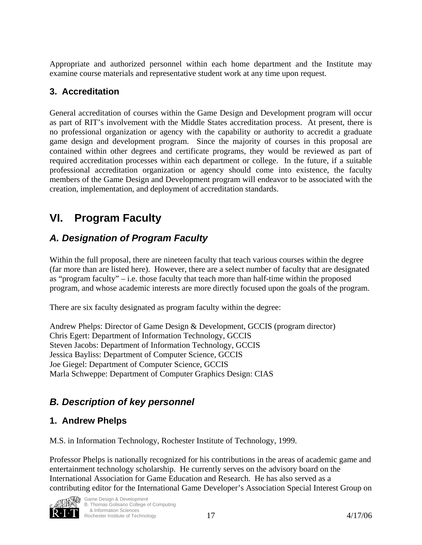Appropriate and authorized personnel within each home department and the Institute may examine course materials and representative student work at any time upon request.

#### **3. Accreditation**

General accreditation of courses within the Game Design and Development program will occur as part of RIT's involvement with the Middle States accreditation process. At present, there is no professional organization or agency with the capability or authority to accredit a graduate game design and development program. Since the majority of courses in this proposal are contained within other degrees and certificate programs, they would be reviewed as part of required accreditation processes within each department or college. In the future, if a suitable professional accreditation organization or agency should come into existence, the faculty members of the Game Design and Development program will endeavor to be associated with the creation, implementation, and deployment of accreditation standards.

# **VI. Program Faculty**

## *A. Designation of Program Faculty*

Within the full proposal, there are nineteen faculty that teach various courses within the degree (far more than are listed here). However, there are a select number of faculty that are designated as "program faculty" – i.e. those faculty that teach more than half-time within the proposed program, and whose academic interests are more directly focused upon the goals of the program.

There are six faculty designated as program faculty within the degree:

Andrew Phelps: Director of Game Design & Development, GCCIS (program director) Chris Egert: Department of Information Technology, GCCIS Steven Jacobs: Department of Information Technology, GCCIS Jessica Bayliss: Department of Computer Science, GCCIS Joe Giegel: Department of Computer Science, GCCIS Marla Schweppe: Department of Computer Graphics Design: CIAS

## *B. Description of key personnel*

#### **1. Andrew Phelps**

M.S. in Information Technology, Rochester Institute of Technology, 1999.

Professor Phelps is nationally recognized for his contributions in the areas of academic game and entertainment technology scholarship. He currently serves on the advisory board on the International Association for Game Education and Research. He has also served as a contributing editor for the International Game Developer's Association Special Interest Group on

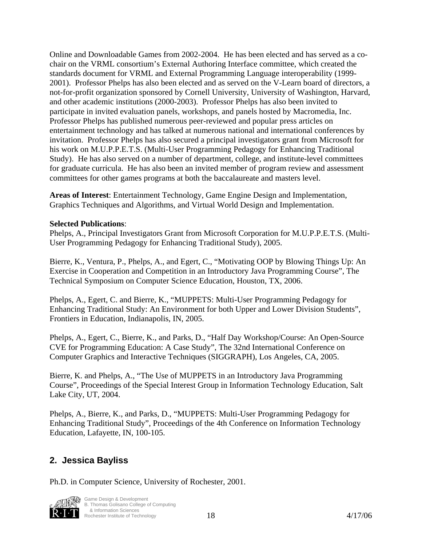Online and Downloadable Games from 2002-2004. He has been elected and has served as a cochair on the VRML consortium's External Authoring Interface committee, which created the standards document for VRML and External Programming Language interoperability (1999- 2001). Professor Phelps has also been elected and as served on the V-Learn board of directors, a not-for-profit organization sponsored by Cornell University, University of Washington, Harvard, and other academic institutions (2000-2003). Professor Phelps has also been invited to participate in invited evaluation panels, workshops, and panels hosted by Macromedia, Inc. Professor Phelps has published numerous peer-reviewed and popular press articles on entertainment technology and has talked at numerous national and international conferences by invitation. Professor Phelps has also secured a principal investigators grant from Microsoft for his work on M.U.P.P.E.T.S. (Multi-User Programming Pedagogy for Enhancing Traditional Study). He has also served on a number of department, college, and institute-level committees for graduate curricula. He has also been an invited member of program review and assessment committees for other games programs at both the baccalaureate and masters level.

**Areas of Interest**: Entertainment Technology, Game Engine Design and Implementation, Graphics Techniques and Algorithms, and Virtual World Design and Implementation.

#### **Selected Publications**:

Phelps, A., Principal Investigators Grant from Microsoft Corporation for M.U.P.P.E.T.S. (Multi-User Programming Pedagogy for Enhancing Traditional Study), 2005.

Bierre, K., Ventura, P., Phelps, A., and Egert, C., "Motivating OOP by Blowing Things Up: An Exercise in Cooperation and Competition in an Introductory Java Programming Course", The Technical Symposium on Computer Science Education, Houston, TX, 2006.

Phelps, A., Egert, C. and Bierre, K., "MUPPETS: Multi-User Programming Pedagogy for Enhancing Traditional Study: An Environment for both Upper and Lower Division Students", Frontiers in Education, Indianapolis, IN, 2005.

Phelps, A., Egert, C., Bierre, K., and Parks, D., "Half Day Workshop/Course: An Open-Source CVE for Programming Education: A Case Study", The 32nd International Conference on Computer Graphics and Interactive Techniques (SIGGRAPH), Los Angeles, CA, 2005.

Bierre, K. and Phelps, A., "The Use of MUPPETS in an Introductory Java Programming Course", Proceedings of the Special Interest Group in Information Technology Education, Salt Lake City, UT, 2004.

Phelps, A., Bierre, K., and Parks, D., "MUPPETS: Multi-User Programming Pedagogy for Enhancing Traditional Study", Proceedings of the 4th Conference on Information Technology Education, Lafayette, IN, 100-105.

#### **2. Jessica Bayliss**

Ph.D. in Computer Science, University of Rochester, 2001.



Rochester Institute of Technology **18** 18 4/17/06 Game Design & Development B. Thomas Golisano College of Computing & Information Sciences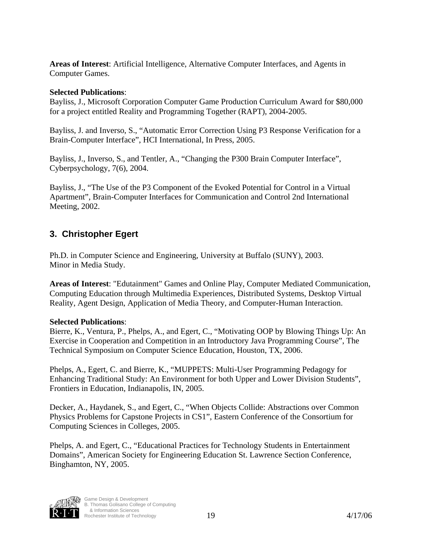**Areas of Interest**: Artificial Intelligence, Alternative Computer Interfaces, and Agents in Computer Games.

#### **Selected Publications**:

Bayliss, J., Microsoft Corporation Computer Game Production Curriculum Award for \$80,000 for a project entitled Reality and Programming Together (RAPT), 2004-2005.

Bayliss, J. and Inverso, S., "Automatic Error Correction Using P3 Response Verification for a Brain-Computer Interface", HCI International, In Press, 2005.

Bayliss, J., Inverso, S., and Tentler, A., "Changing the P300 Brain Computer Interface", Cyberpsychology, 7(6), 2004.

Bayliss, J., "The Use of the P3 Component of the Evoked Potential for Control in a Virtual Apartment", Brain-Computer Interfaces for Communication and Control 2nd International Meeting, 2002.

#### **3. Christopher Egert**

Ph.D. in Computer Science and Engineering, University at Buffalo (SUNY), 2003. Minor in Media Study.

**Areas of Interest**: "Edutainment" Games and Online Play, Computer Mediated Communication, Computing Education through Multimedia Experiences, Distributed Systems, Desktop Virtual Reality, Agent Design, Application of Media Theory, and Computer-Human Interaction.

#### **Selected Publications**:

Bierre, K., Ventura, P., Phelps, A., and Egert, C., "Motivating OOP by Blowing Things Up: An Exercise in Cooperation and Competition in an Introductory Java Programming Course", The Technical Symposium on Computer Science Education, Houston, TX, 2006.

Phelps, A., Egert, C. and Bierre, K., "MUPPETS: Multi-User Programming Pedagogy for Enhancing Traditional Study: An Environment for both Upper and Lower Division Students", Frontiers in Education, Indianapolis, IN, 2005.

Decker, A., Haydanek, S., and Egert, C., "When Objects Collide: Abstractions over Common Physics Problems for Capstone Projects in CS1", Eastern Conference of the Consortium for Computing Sciences in Colleges, 2005.

Phelps, A. and Egert, C., "Educational Practices for Technology Students in Entertainment Domains", American Society for Engineering Education St. Lawrence Section Conference, Binghamton, NY, 2005.

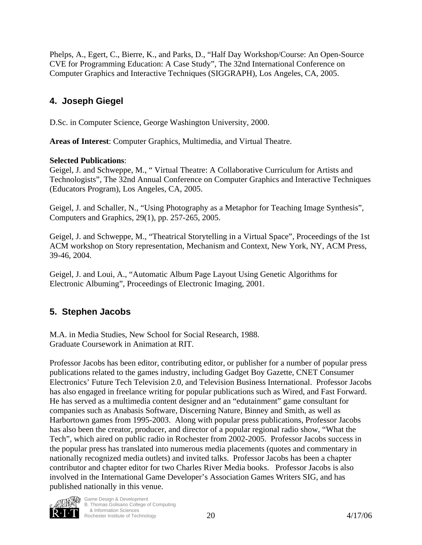Phelps, A., Egert, C., Bierre, K., and Parks, D., "Half Day Workshop/Course: An Open-Source CVE for Programming Education: A Case Study", The 32nd International Conference on Computer Graphics and Interactive Techniques (SIGGRAPH), Los Angeles, CA, 2005.

#### **4. Joseph Giegel**

D.Sc. in Computer Science, George Washington University, 2000.

**Areas of Interest**: Computer Graphics, Multimedia, and Virtual Theatre.

#### **Selected Publications**:

Geigel, J. and Schweppe, M., " Virtual Theatre: A Collaborative Curriculum for Artists and Technologists", The 32nd Annual Conference on Computer Graphics and Interactive Techniques (Educators Program), Los Angeles, CA, 2005.

Geigel, J. and Schaller, N., "Using Photography as a Metaphor for Teaching Image Synthesis", Computers and Graphics, 29(1), pp. 257-265, 2005.

Geigel, J. and Schweppe, M., "Theatrical Storytelling in a Virtual Space", Proceedings of the 1st ACM workshop on Story representation, Mechanism and Context, New York, NY, ACM Press, 39-46, 2004.

Geigel, J. and Loui, A., "Automatic Album Page Layout Using Genetic Algorithms for Electronic Albuming", Proceedings of Electronic Imaging, 2001.

## **5. Stephen Jacobs**

M.A. in Media Studies, New School for Social Research, 1988. Graduate Coursework in Animation at RIT.

Professor Jacobs has been editor, contributing editor, or publisher for a number of popular press publications related to the games industry, including Gadget Boy Gazette, CNET Consumer Electronics' Future Tech Television 2.0, and Television Business International. Professor Jacobs has also engaged in freelance writing for popular publications such as Wired, and Fast Forward. He has served as a multimedia content designer and an "edutainment" game consultant for companies such as Anabasis Software, Discerning Nature, Binney and Smith, as well as Harbortown games from 1995-2003. Along with popular press publications, Professor Jacobs has also been the creator, producer, and director of a popular regional radio show, "What the Tech", which aired on public radio in Rochester from 2002-2005. Professor Jacobs success in the popular press has translated into numerous media placements (quotes and commentary in nationally recognized media outlets) and invited talks. Professor Jacobs has been a chapter contributor and chapter editor for two Charles River Media books. Professor Jacobs is also involved in the International Game Developer's Association Games Writers SIG, and has published nationally in this venue.

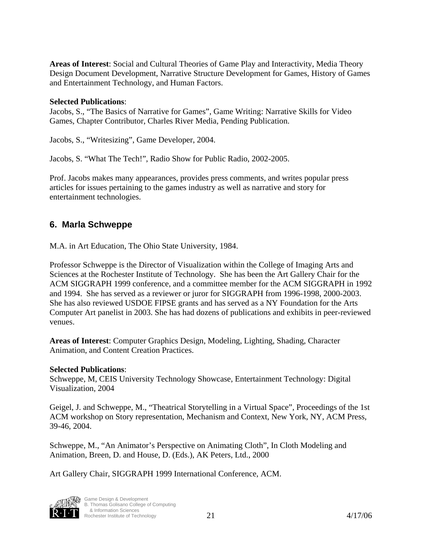**Areas of Interest**: Social and Cultural Theories of Game Play and Interactivity, Media Theory Design Document Development, Narrative Structure Development for Games, History of Games and Entertainment Technology, and Human Factors.

#### **Selected Publications**:

Jacobs, S., "The Basics of Narrative for Games", Game Writing: Narrative Skills for Video Games, Chapter Contributor, Charles River Media, Pending Publication.

Jacobs, S., "Writesizing", Game Developer, 2004.

Jacobs, S. "What The Tech!", Radio Show for Public Radio, 2002-2005.

Prof. Jacobs makes many appearances, provides press comments, and writes popular press articles for issues pertaining to the games industry as well as narrative and story for entertainment technologies.

#### **6. Marla Schweppe**

M.A. in Art Education, The Ohio State University, 1984.

Professor Schweppe is the Director of Visualization within the College of Imaging Arts and Sciences at the Rochester Institute of Technology. She has been the Art Gallery Chair for the ACM SIGGRAPH 1999 conference, and a committee member for the ACM SIGGRAPH in 1992 and 1994. She has served as a reviewer or juror for SIGGRAPH from 1996-1998, 2000-2003. She has also reviewed USDOE FIPSE grants and has served as a NY Foundation for the Arts Computer Art panelist in 2003. She has had dozens of publications and exhibits in peer-reviewed venues.

**Areas of Interest**: Computer Graphics Design, Modeling, Lighting, Shading, Character Animation, and Content Creation Practices.

#### **Selected Publications**:

Schweppe, M, CEIS University Technology Showcase, Entertainment Technology: Digital Visualization, 2004

Geigel, J. and Schweppe, M., "Theatrical Storytelling in a Virtual Space", Proceedings of the 1st ACM workshop on Story representation, Mechanism and Context, New York, NY, ACM Press, 39-46, 2004.

Schweppe, M., "An Animator's Perspective on Animating Cloth", In Cloth Modeling and Animation, Breen, D. and House, D. (Eds.), AK Peters, Ltd., 2000

Art Gallery Chair, SIGGRAPH 1999 International Conference, ACM.



 $\frac{21}{4/17/06}$ Game Design & Development B. Thomas Golisano College of Computing & Information Sciences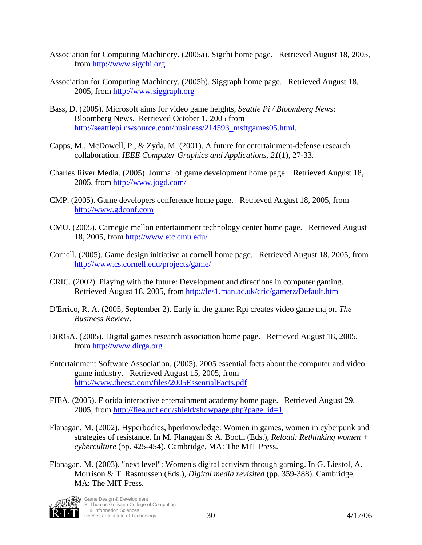- Association for Computing Machinery. (2005a). Sigchi home page. Retrieved August 18, 2005, from http://www.sigchi.org
- Association for Computing Machinery. (2005b). Siggraph home page. Retrieved August 18, 2005, from http://www.siggraph.org
- Bass, D. (2005). Microsoft aims for video game heights, *Seattle Pi / Bloomberg News*: Bloomberg News. Retrieved October 1, 2005 from http://seattlepi.nwsource.com/business/214593\_msftgames05.html.
- Capps, M., McDowell, P., & Zyda, M. (2001). A future for entertainment-defense research collaboration. *IEEE Computer Graphics and Applications, 21*(1), 27-33.
- Charles River Media. (2005). Journal of game development home page. Retrieved August 18, 2005, from http://www.jogd.com/
- CMP. (2005). Game developers conference home page. Retrieved August 18, 2005, from http://www.gdconf.com
- CMU. (2005). Carnegie mellon entertainment technology center home page. Retrieved August 18, 2005, from http://www.etc.cmu.edu/
- Cornell. (2005). Game design initiative at cornell home page. Retrieved August 18, 2005, from http://www.cs.cornell.edu/projects/game/
- CRIC. (2002). Playing with the future: Development and directions in computer gaming. Retrieved August 18, 2005, from http://les1.man.ac.uk/cric/gamerz/Default.htm
- D'Errico, R. A. (2005, September 2). Early in the game: Rpi creates video game major*. The Business Review*.
- DiRGA. (2005). Digital games research association home page. Retrieved August 18, 2005, from http://www.dirga.org
- Entertainment Software Association. (2005). 2005 essential facts about the computer and video game industry. Retrieved August 15, 2005, from http://www.theesa.com/files/2005EssentialFacts.pdf
- FIEA. (2005). Florida interactive entertainment academy home page. Retrieved August 29, 2005, from http://fiea.ucf.edu/shield/showpage.php?page\_id=1
- Flanagan, M. (2002). Hyperbodies, hperknowledge: Women in games, women in cyberpunk and strategies of resistance. In M. Flanagan & A. Booth (Eds.), *Reload: Rethinking women + cyberculture* (pp. 425-454). Cambridge, MA: The MIT Press.
- Flanagan, M. (2003). "next level": Women's digital activism through gaming. In G. Liestol, A. Morrison & T. Rasmussen (Eds.), *Digital media revisited* (pp. 359-388). Cambridge, MA: The MIT Press.

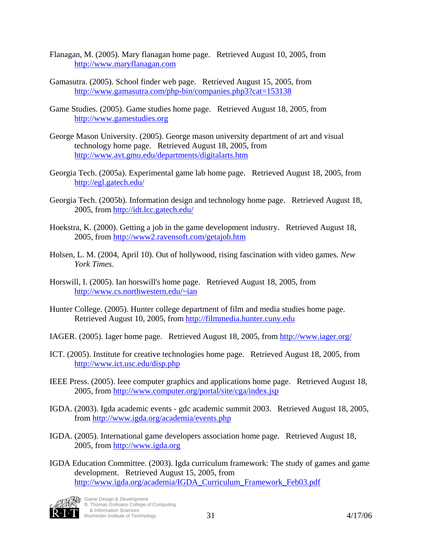- Flanagan, M. (2005). Mary flanagan home page. Retrieved August 10, 2005, from http://www.maryflanagan.com
- Gamasutra. (2005). School finder web page. Retrieved August 15, 2005, from http://www.gamasutra.com/php-bin/companies.php3?cat=153138
- Game Studies. (2005). Game studies home page. Retrieved August 18, 2005, from http://www.gamestudies.org
- George Mason University. (2005). George mason university department of art and visual technology home page. Retrieved August 18, 2005, from http://www.avt.gmu.edu/departments/digitalarts.htm
- Georgia Tech. (2005a). Experimental game lab home page. Retrieved August 18, 2005, from http://egl.gatech.edu/
- Georgia Tech. (2005b). Information design and technology home page. Retrieved August 18, 2005, from http://idt.lcc.gatech.edu/
- Hoekstra, K. (2000). Getting a job in the game development industry. Retrieved August 18, 2005, from http://www2.ravensoft.com/getajob.htm
- Holsen, L. M. (2004, April 10). Out of hollywood, rising fascination with video games*. New York Times*.
- Horswill, I. (2005). Ian horswill's home page. Retrieved August 18, 2005, from http://www.cs.northwestern.edu/~ian
- Hunter College. (2005). Hunter college department of film and media studies home page. Retrieved August 10, 2005, from http://filmmedia.hunter.cuny.edu
- IAGER. (2005). Iager home page. Retrieved August 18, 2005, from http://www.iager.org/
- ICT. (2005). Institute for creative technologies home page. Retrieved August 18, 2005, from http://www.ict.usc.edu/disp.php
- IEEE Press. (2005). Ieee computer graphics and applications home page. Retrieved August 18, 2005, from http://www.computer.org/portal/site/cga/index.jsp
- IGDA. (2003). Igda academic events gdc academic summit 2003. Retrieved August 18, 2005, from http://www.igda.org/academia/events.php
- IGDA. (2005). International game developers association home page. Retrieved August 18, 2005, from http://www.igda.org
- IGDA Education Committee. (2003). Igda curriculum framework: The study of games and game development. Retrieved August 15, 2005, from http://www.igda.org/academia/IGDA\_Curriculum\_Framework\_Feb03.pdf

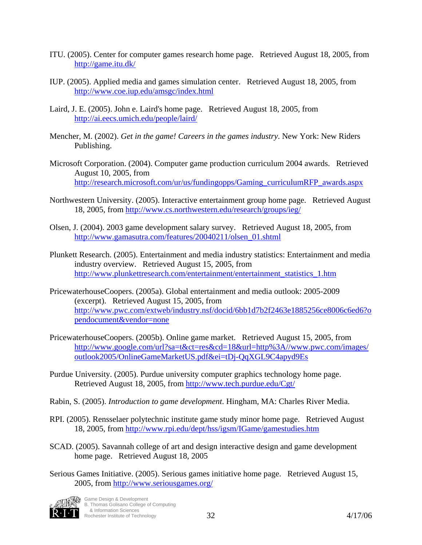- ITU. (2005). Center for computer games research home page. Retrieved August 18, 2005, from http://game.itu.dk/
- IUP. (2005). Applied media and games simulation center. Retrieved August 18, 2005, from http://www.coe.iup.edu/amsgc/index.html
- Laird, J. E. (2005). John e. Laird's home page. Retrieved August 18, 2005, from http://ai.eecs.umich.edu/people/laird/
- Mencher, M. (2002). *Get in the game! Careers in the games industry*. New York: New Riders Publishing.
- Microsoft Corporation. (2004). Computer game production curriculum 2004 awards. Retrieved August 10, 2005, from http://research.microsoft.com/ur/us/fundingopps/Gaming\_curriculumRFP\_awards.aspx
- Northwestern University. (2005). Interactive entertainment group home page. Retrieved August 18, 2005, from http://www.cs.northwestern.edu/research/groups/ieg/
- Olsen, J. (2004). 2003 game development salary survey. Retrieved August 18, 2005, from http://www.gamasutra.com/features/20040211/olsen\_01.shtml
- Plunkett Research. (2005). Entertainment and media industry statistics: Entertainment and media industry overview. Retrieved August 15, 2005, from http://www.plunkettresearch.com/entertainment/entertainment\_statistics\_1.htm
- PricewaterhouseCoopers. (2005a). Global entertainment and media outlook: 2005-2009 (excerpt). Retrieved August 15, 2005, from http://www.pwc.com/extweb/industry.nsf/docid/6bb1d7b2f2463e1885256ce8006c6ed6?o pendocument&vendor=none
- PricewaterhouseCoopers. (2005b). Online game market. Retrieved August 15, 2005, from http://www.google.com/url?sa=t&ct=res&cd=18&url=http%3A//www.pwc.com/images/ outlook2005/OnlineGameMarketUS.pdf&ei=tDj-QqXGL9C4apyd9Es
- Purdue University. (2005). Purdue university computer graphics technology home page. Retrieved August 18, 2005, from http://www.tech.purdue.edu/Cgt/
- Rabin, S. (2005). *Introduction to game development*. Hingham, MA: Charles River Media.
- RPI. (2005). Rensselaer polytechnic institute game study minor home page. Retrieved August 18, 2005, from http://www.rpi.edu/dept/hss/igsm/IGame/gamestudies.htm
- SCAD. (2005). Savannah college of art and design interactive design and game development home page. Retrieved August 18, 2005
- Serious Games Initiative. (2005). Serious games initiative home page. Retrieved August 15, 2005, from http://www.seriousgames.org/